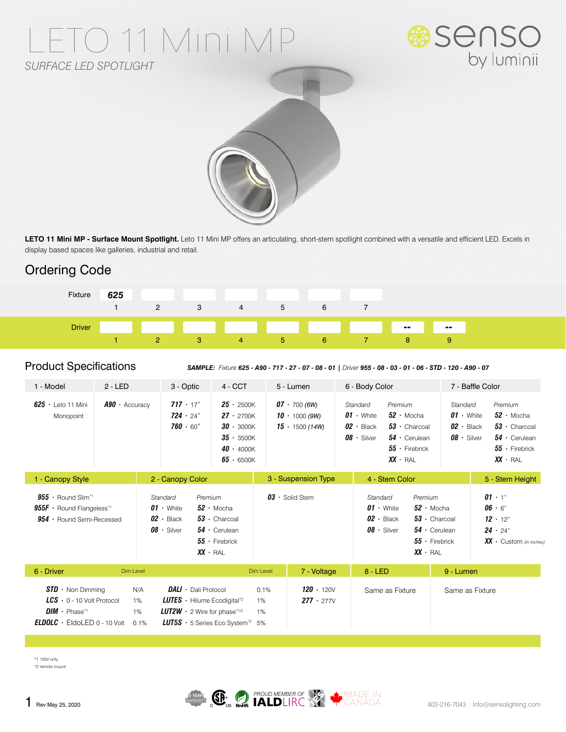# TO 11 Mini M *SURFACE LED SPOTLIGHT*





LETO 11 Mini MP - Surface Mount Spotlight. Leto 11 Mini MP offers an articulating, short-stem spotlight combined with a versatile and efficient LED. Excels in display based spaces like galleries, industrial and retail.

## Ordering Code



#### Product Specifications

*SAMPLE: Fixture 625 - A90 - 717 - 27 - 07 - 08 - 01 | Driver 955 - 08 - 03 - 01 - 06 - STD - 120 - A90 - 07*

| $2 - LED$<br>1 - Model                                                                                                                        |                         | 3 - Optic                                                                                                                                                                                  | $4 - CCT$                                                                                                            | 5 - Lumen                                                     |                                      | 6 - Body Color                                                                                                                                                                           |                                                                    | 7 - Baffle Color                                                                                                                                                                         |  |
|-----------------------------------------------------------------------------------------------------------------------------------------------|-------------------------|--------------------------------------------------------------------------------------------------------------------------------------------------------------------------------------------|----------------------------------------------------------------------------------------------------------------------|---------------------------------------------------------------|--------------------------------------|------------------------------------------------------------------------------------------------------------------------------------------------------------------------------------------|--------------------------------------------------------------------|------------------------------------------------------------------------------------------------------------------------------------------------------------------------------------------|--|
| $625 -$ Leto 11 Mini<br>Monopoint                                                                                                             | $A90 \cdot$ Accuracy    | $717 \cdot 17^{\circ}$<br>$724 \cdot 24$ °<br>760 $\cdot$ 60 $^{\circ}$                                                                                                                    | $25 \cdot 2500K$<br>$27 \cdot 2700K$<br>$30 \cdot 3000K$<br>$35 \cdot 3500K$<br>$40 \cdot 4000K$<br>$65 \cdot 6500K$ | $07 - 700(6W)$<br>$10 \cdot 1000(9W)$<br>$15 \cdot 1500(14W)$ |                                      | Premium<br>Standard<br>$01 \cdot$ White<br>$52 \cdot$ Mocha<br>$02 \cdot$ Black<br>$08 \cdot$ Silver<br>$XX \cdot RAL$                                                                   | $53 \cdot$ Charcoal<br>$54 \cdot$ Cerulean<br>$55 \cdot$ Firebrick | Premium<br>Standard<br>$52 \cdot$ Mocha<br>$01 \cdot$ White<br>$02 \cdot$ Black<br>$53 \cdot$ Charcoal<br>$08 \cdot$ Silver<br>$54 \cdot$ Cerulean<br>$55 -$ Firebrick<br>$XX \cdot RAL$ |  |
| 1 - Canopy Style                                                                                                                              |                         | 2 - Canopy Color                                                                                                                                                                           |                                                                                                                      | 3 - Suspension Type                                           |                                      | 4 - Stem Color                                                                                                                                                                           |                                                                    | 5 - Stem Height                                                                                                                                                                          |  |
| $955 \cdot$ Round Slim <sup>*</sup><br>$955F \cdot$ Round Flangeless* <sup>1</sup><br>$954 \cdot$ Round Semi-Recessed                         |                         | Standard<br>Premium<br>$01 \cdot$ White<br>$52 \cdot$ Mocha<br>$02 \cdot$ Black<br>$53 \cdot$ Charcoal<br>$08 \cdot$ Silver<br>$54 \cdot$ Cerulean<br>$55 -$ Firebrick<br>$XX$ $\cdot$ RAL |                                                                                                                      | $03 \cdot$ Solid Stem                                         |                                      | Premium<br>Standard<br>$01 \cdot$ White<br>$52 \cdot$ Mocha<br>$02 \cdot$ Black<br>$53 \cdot$ Charcoal<br>$08 \cdot$ Silver<br>$54 \cdot$ Cerulean<br>$55 -$ Firebrick<br>$XX \cdot RAL$ |                                                                    | $01 \cdot 1$ "<br>$06 - 6$<br>$12 \cdot 12$ "<br>$24 \cdot 24$ "<br>$XX \cdot$ Custom (in inches)                                                                                        |  |
| 6 - Driver<br>Dim Level                                                                                                                       |                         |                                                                                                                                                                                            | Dim Level<br>7 - Voltage                                                                                             |                                                               | $8 - LED$                            |                                                                                                                                                                                          | 9 - Lumen                                                          |                                                                                                                                                                                          |  |
| $STD \cdot$ Non Dimming<br>$LCS$ $\cdot$ 0 - 10 Volt Protocol<br>$DIM \cdot$ Phase* <sup>1</sup><br><b>ELDOLC</b> $\cdot$ EldoLED 0 - 10 Volt | N/A<br>1%<br>1%<br>0.1% | <b>DALI</b> · Dali Protocol<br><b>LUTES</b> $\cdot$ Hilume Ecodigital <sup>*2</sup><br><b>LUT2W</b> $\cdot$ 2 Wire for phase*1/2<br><b>LUT5S</b> $\cdot$ 5 Series Eco System <sup>*2</sup> |                                                                                                                      | 0.1%<br>1%<br>1%<br>5%                                        | $120 \cdot 120V$<br>$277 \cdot 277V$ | Same as Fixture                                                                                                                                                                          |                                                                    | Same as Fixture                                                                                                                                                                          |  |

\*1 120V only \*2 remote mount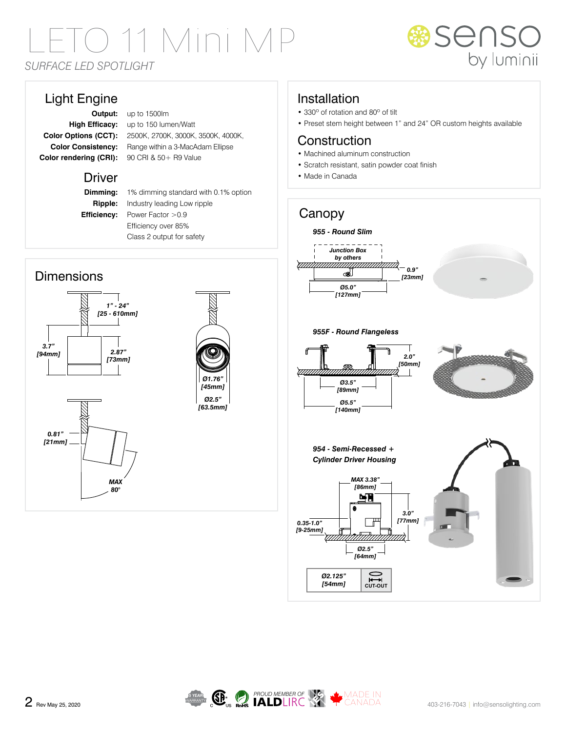# LETO 11 Mini MP *SURFACE LED SPOTLIGHT*



### Light Engine

**Output:** up to 1500lm **High Efficacy:** up to 150 lumen/Watt **Color Options (CCT):** 2500K, 2700K, 3000K, 3500K, 4000K, **Color Consistency:** Range within a 3-MacAdam Ellipse Color rendering (CRI): 90 CRI & 50 + R9 Value

#### **Driver**

**Dimming:** 1% dimming standard with 0.1% option **Ripple:** Industry leading Low ripple **Efficiency:** Power Factor > 0.9 Efficiency over 85% Class 2 output for safety

#### **Dimensions**





#### Installation

- 330º of rotation and 80º of tilt
- Preset stem height between 1" and 24" OR custom heights available

#### **Construction**

- Machined aluminum construction
- Scratch resistant, satin powder coat finish
- Made in Canada